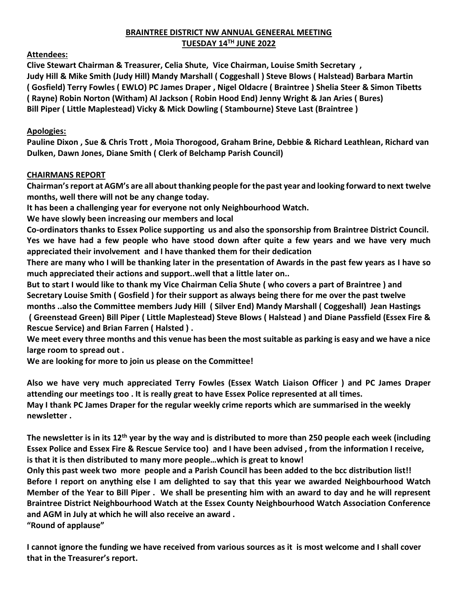# **BRAINTREE DISTRICT NW ANNUAL GENEERAL MEETING TUESDAY 14TH JUNE 2022**

# **Attendees:**

**Clive Stewart Chairman & Treasurer, Celia Shute, Vice Chairman, Louise Smith Secretary , Judy Hill & Mike Smith (Judy Hill) Mandy Marshall ( Coggeshall ) Steve Blows ( Halstead) Barbara Martin ( Gosfield) Terry Fowles ( EWLO) PC James Draper , Nigel Oldacre ( Braintree ) Shelia Steer & Simon Tibetts ( Rayne) Robin Norton (Witham) Al Jackson ( Robin Hood End) Jenny Wright & Jan Aries ( Bures) Bill Piper ( Little Maplestead) Vicky & Mick Dowling ( Stambourne) Steve Last (Braintree )**

# **Apologies:**

**Pauline Dixon , Sue & Chris Trott , Moia Thorogood, Graham Brine, Debbie & Richard Leathlean, Richard van Dulken, Dawn Jones, Diane Smith ( Clerk of Belchamp Parish Council)** 

### **CHAIRMANS REPORT**

**Chairman's report at AGM's are all about thanking people for the past year and looking forward to next twelve months, well there will not be any change today.** 

**It has been a challenging year for everyone not only Neighbourhood Watch.**

**We have slowly been increasing our members and local** 

**Co-ordinators thanks to Essex Police supporting us and also the sponsorship from Braintree District Council. Yes we have had a few people who have stood down after quite a few years and we have very much appreciated their involvement and I have thanked them for their dedication**

**There are many who I will be thanking later in the presentation of Awards in the past few years as I have so much appreciated their actions and support..well that a little later on..**

**But to start I would like to thank my Vice Chairman Celia Shute ( who covers a part of Braintree ) and Secretary Louise Smith ( Gosfield ) for their support as always being there for me over the past twelve months ..also the Committee members Judy Hill ( Silver End) Mandy Marshall ( Coggeshall) Jean Hastings ( Greenstead Green) Bill Piper ( Little Maplestead) Steve Blows ( Halstead ) and Diane Passfield (Essex Fire & Rescue Service) and Brian Farren ( Halsted ) .**

**We meet every three months and this venue has been the most suitable as parking is easy and we have a nice large room to spread out .**

**We are looking for more to join us please on the Committee!**

**Also we have very much appreciated Terry Fowles (Essex Watch Liaison Officer ) and PC James Draper attending our meetings too . It is really great to have Essex Police represented at all times. May I thank PC James Draper for the regular weekly crime reports which are summarised in the weekly newsletter .**

**The newsletter is in its 12th year by the way and is distributed to more than 250 people each week (including Essex Police and Essex Fire & Rescue Service too) and I have been advised , from the information I receive, is that it is then distributed to many more people…which is great to know!**

**Only this past week two more people and a Parish Council has been added to the bcc distribution list!! Before I report on anything else I am delighted to say that this year we awarded Neighbourhood Watch Member of the Year to Bill Piper . We shall be presenting him with an award to day and he will represent Braintree District Neighbourhood Watch at the Essex County Neighbourhood Watch Association Conference and AGM in July at which he will also receive an award . "Round of applause"**

**I cannot ignore the funding we have received from various sources as it is most welcome and I shall cover that in the Treasurer's report.**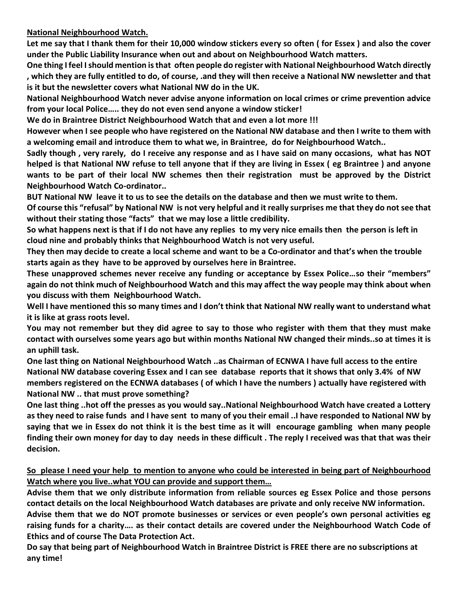**National Neighbourhood Watch.**

**Let me say that I thank them for their 10,000 window stickers every so often ( for Essex ) and also the cover under the Public Liability Insurance when out and about on Neighbourhood Watch matters.**

**One thing I feel I should mention is that often people do register with National Neighbourhood Watch directly , which they are fully entitled to do, of course, .and they will then receive a National NW newsletter and that is it but the newsletter covers what National NW do in the UK.**

**National Neighbourhood Watch never advise anyone information on local crimes or crime prevention advice from your local Police….. they do not even send anyone a window sticker!**

**We do in Braintree District Neighbourhood Watch that and even a lot more !!!**

**However when I see people who have registered on the National NW database and then I write to them with a welcoming email and introduce them to what we, in Braintree, do for Neighbourhood Watch..**

**Sadly though , very rarely, do I receive any response and as I have said on many occasions, what has NOT helped is that National NW refuse to tell anyone that if they are living in Essex ( eg Braintree ) and anyone wants to be part of their local NW schemes then their registration must be approved by the District Neighbourhood Watch Co-ordinator..**

**BUT National NW leave it to us to see the details on the database and then we must write to them.** 

**Of course this "refusal" by National NW is not very helpful and it really surprises me that they do not see that without their stating those "facts" that we may lose a little credibility.**

**So what happens next is that if I do not have any replies to my very nice emails then the person is left in cloud nine and probably thinks that Neighbourhood Watch is not very useful.**

**They then may decide to create a local scheme and want to be a Co-ordinator and that's when the trouble starts again as they have to be approved by ourselves here in Braintree.**

**These unapproved schemes never receive any funding or acceptance by Essex Police…so their "members" again do not think much of Neighbourhood Watch and this may affect the way people may think about when you discuss with them Neighbourhood Watch.**

**Well I have mentioned this so many times and I don't think that National NW really want to understand what it is like at grass roots level.**

**You may not remember but they did agree to say to those who register with them that they must make contact with ourselves some years ago but within months National NW changed their minds..so at times it is an uphill task.**

**One last thing on National Neighbourhood Watch ..as Chairman of ECNWA I have full access to the entire National NW database covering Essex and I can see database reports that it shows that only 3.4% of NW members registered on the ECNWA databases ( of which I have the numbers ) actually have registered with National NW .. that must prove something?**

**One last thing ..hot off the presses as you would say..National Neighbourhood Watch have created a Lottery as they need to raise funds and I have sent to many of you their email ..I have responded to National NW by saying that we in Essex do not think it is the best time as it will encourage gambling when many people finding their own money for day to day needs in these difficult . The reply I received was that that was their decision.**

**So please I need your help to mention to anyone who could be interested in being part of Neighbourhood Watch where you live..what YOU can provide and support them…**

**Advise them that we only distribute information from reliable sources eg Essex Police and those persons contact details on the local Neighbourhood Watch databases are private and only receive NW information.**

**Advise them that we do NOT promote businesses or services or even people's own personal activities eg raising funds for a charity…. as their contact details are covered under the Neighbourhood Watch Code of Ethics and of course The Data Protection Act.**

**Do say that being part of Neighbourhood Watch in Braintree District is FREE there are no subscriptions at any time!**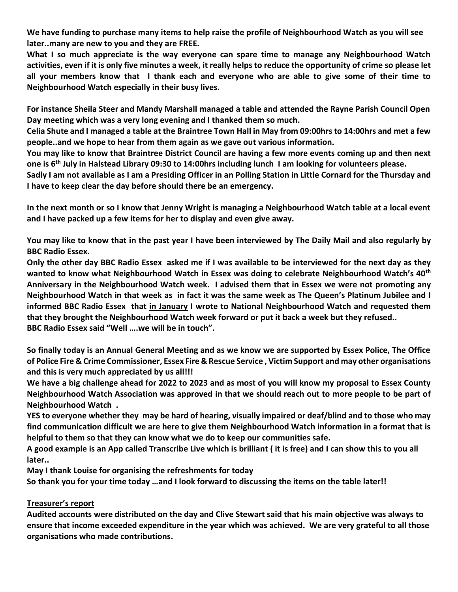**We have funding to purchase many items to help raise the profile of Neighbourhood Watch as you will see later..many are new to you and they are FREE.**

**What I so much appreciate is the way everyone can spare time to manage any Neighbourhood Watch activities, even if it is only five minutes a week, it really helps to reduce the opportunity of crime so please let all your members know that I thank each and everyone who are able to give some of their time to Neighbourhood Watch especially in their busy lives.**

**For instance Sheila Steer and Mandy Marshall managed a table and attended the Rayne Parish Council Open Day meeting which was a very long evening and I thanked them so much.**

**Celia Shute and I managed a table at the Braintree Town Hall in May from 09:00hrs to 14:00hrs and met a few people..and we hope to hear from them again as we gave out various information.**

**You may like to know that Braintree District Council are having a few more events coming up and then next one is 6th July in Halstead Library 09:30 to 14:00hrs including lunch I am looking for volunteers please.**

**Sadly I am not available as I am a Presiding Officer in an Polling Station in Little Cornard for the Thursday and I have to keep clear the day before should there be an emergency.**

**In the next month or so I know that Jenny Wright is managing a Neighbourhood Watch table at a local event and I have packed up a few items for her to display and even give away.**

**You may like to know that in the past year I have been interviewed by The Daily Mail and also regularly by BBC Radio Essex.**

**Only the other day BBC Radio Essex asked me if I was available to be interviewed for the next day as they wanted to know what Neighbourhood Watch in Essex was doing to celebrate Neighbourhood Watch's 40th Anniversary in the Neighbourhood Watch week. I advised them that in Essex we were not promoting any Neighbourhood Watch in that week as in fact it was the same week as The Queen's Platinum Jubilee and I informed BBC Radio Essex that in January I wrote to National Neighbourhood Watch and requested them that they brought the Neighbourhood Watch week forward or put it back a week but they refused.. BBC Radio Essex said "Well ….we will be in touch".**

**So finally today is an Annual General Meeting and as we know we are supported by Essex Police, The Office of Police Fire & Crime Commissioner, Essex Fire & Rescue Service , Victim Support and may other organisations and this is very much appreciated by us all!!!**

**We have a big challenge ahead for 2022 to 2023 and as most of you will know my proposal to Essex County Neighbourhood Watch Association was approved in that we should reach out to more people to be part of Neighbourhood Watch .** 

**YES to everyone whether they may be hard of hearing, visually impaired or deaf/blind and to those who may find communication difficult we are here to give them Neighbourhood Watch information in a format that is helpful to them so that they can know what we do to keep our communities safe.**

**A good example is an App called Transcribe Live which is brilliant ( it is free) and I can show this to you all later..**

**May I thank Louise for organising the refreshments for today** 

**So thank you for your time today …and I look forward to discussing the items on the table later!!**

# **Treasurer's report**

**Audited accounts were distributed on the day and Clive Stewart said that his main objective was always to ensure that income exceeded expenditure in the year which was achieved. We are very grateful to all those organisations who made contributions.**